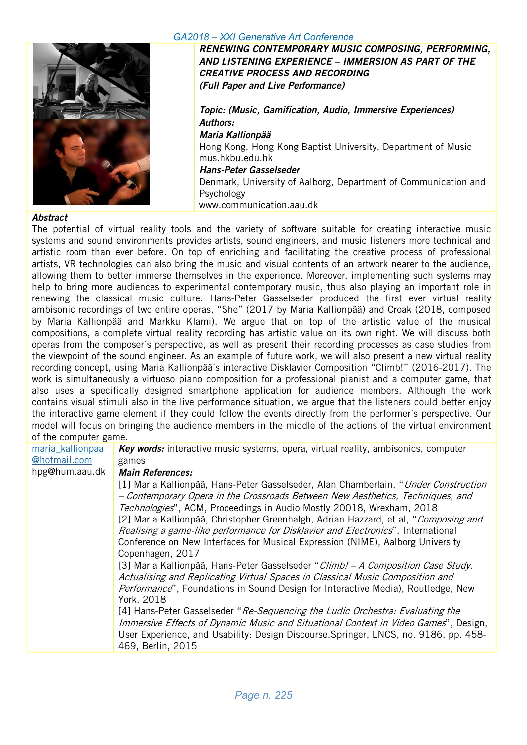

RENEWING CONTEMPORARY MUSIC COMPOSING, PERFORMING, AND LISTENING EXPERIENCE – IMMERSION AS PART OF THE CREATIVE PROCESS AND RECORDING (Full Paper and Live Performance)

Topic: (Music, Gamification, Audio, Immersive Experiences) Authors: Maria Kallionpää Hong Kong, Hong Kong Baptist University, Department of Music mus.hkbu.edu.hk Hans-Peter Gasselseder Denmark, University of Aalborg, Department of Communication and Psychology www.communication.aau.dk

#### Abstract

The potential of virtual reality tools and the variety of software suitable for creating interactive music systems and sound environments provides artists, sound engineers, and music listeners more technical and artistic room than ever before. On top of enriching and facilitating the creative process of professional artists, VR technologies can also bring the music and visual contents of an artwork nearer to the audience, allowing them to better immerse themselves in the experience. Moreover, implementing such systems may help to bring more audiences to experimental contemporary music, thus also playing an important role in renewing the classical music culture. Hans-Peter Gasselseder produced the first ever virtual reality ambisonic recordings of two entire operas, "She" (2017 by Maria Kallionpää) and Croak (2018, composed by Maria Kallionpää and Markku Klami). We argue that on top of the artistic value of the musical compositions, a complete virtual reality recording has artistic value on its own right. We will discuss both operas from the composer´s perspective, as well as present their recording processes as case studies from the viewpoint of the sound engineer. As an example of future work, we will also present a new virtual reality recording concept, using Maria Kallionpää´s interactive Disklavier Composition "Climb!" (2016-2017). The work is simultaneously a virtuoso piano composition for a professional pianist and a computer game, that also uses a specifically designed smartphone application for audience members. Although the work contains visual stimuli also in the live performance situation, we argue that the listeners could better enjoy the interactive game element if they could follow the events directly from the performer´s perspective. Our model will focus on bringing the audience members in the middle of the actions of the virtual environment of the computer game.

| maria kallionpaa | Key words: interactive music systems, opera, virtual reality, ambisonics, computer                                                                                                                                                                                                                                                                                                                                                                                                                                                                                                                                                                                                                                                                                                                       |
|------------------|----------------------------------------------------------------------------------------------------------------------------------------------------------------------------------------------------------------------------------------------------------------------------------------------------------------------------------------------------------------------------------------------------------------------------------------------------------------------------------------------------------------------------------------------------------------------------------------------------------------------------------------------------------------------------------------------------------------------------------------------------------------------------------------------------------|
| @hotmail.com     | games                                                                                                                                                                                                                                                                                                                                                                                                                                                                                                                                                                                                                                                                                                                                                                                                    |
| hpg@hum.aau.dk   | <b>Main References:</b>                                                                                                                                                                                                                                                                                                                                                                                                                                                                                                                                                                                                                                                                                                                                                                                  |
|                  | [1] Maria Kallionpää, Hans-Peter Gasselseder, Alan Chamberlain, " <i>Under Construction</i><br>- Contemporary Opera in the Crossroads Between New Aesthetics, Techniques, and<br>Technologies", ACM, Proceedings in Audio Mostly 20018, Wrexham, 2018<br>[2] Maria Kallionpää, Christopher Greenhalgh, Adrian Hazzard, et al, "Composing and<br>Realising a game-like performance for Disklavier and Electronics'', International<br>Conference on New Interfaces for Musical Expression (NIME), Aalborg University<br>Copenhagen, 2017<br>[3] Maria Kallionpää, Hans-Peter Gasselseder "Climb! - A Composition Case Study.<br>Actualising and Replicating Virtual Spaces in Classical Music Composition and<br><i>Performance</i> ", Foundations in Sound Design for Interactive Media), Routledge, New |
|                  | York, 2018                                                                                                                                                                                                                                                                                                                                                                                                                                                                                                                                                                                                                                                                                                                                                                                               |
|                  | [4] Hans-Peter Gasselseder "Re-Sequencing the Ludic Orchestra: Evaluating the<br>Immersive Effects of Dynamic Music and Situational Context in Video Games", Design,<br>User Experience, and Usability: Design Discourse. Springer, LNCS, no. 9186, pp. 458-<br>469, Berlin, 2015                                                                                                                                                                                                                                                                                                                                                                                                                                                                                                                        |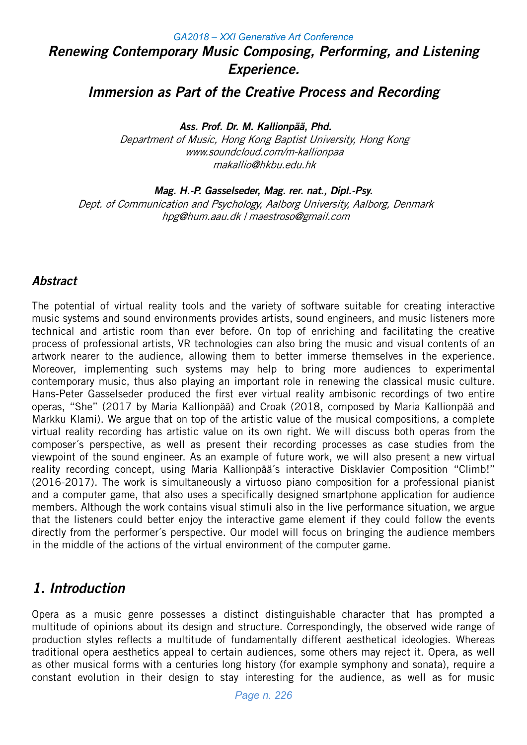## Renewing Contemporary Music Composing, Performing, and Listening Experience.

Immersion as Part of the Creative Process and Recording

Ass. Prof. Dr. M. Kallionpää, Phd.

Department of Music, Hong Kong Baptist University, Hong Kong www.soundcloud.com/m-kallionpaa makallio@hkbu.edu.hk

Mag. H.-P. Gasselseder, Mag. rer. nat., Dipl.-Psy.

Dept. of Communication and Psychology, Aalborg University, Aalborg, Denmark hpg@hum.aau.dk | maestroso@gmail.com

## **Abstract**

The potential of virtual reality tools and the variety of software suitable for creating interactive music systems and sound environments provides artists, sound engineers, and music listeners more technical and artistic room than ever before. On top of enriching and facilitating the creative process of professional artists, VR technologies can also bring the music and visual contents of an artwork nearer to the audience, allowing them to better immerse themselves in the experience. Moreover, implementing such systems may help to bring more audiences to experimental contemporary music, thus also playing an important role in renewing the classical music culture. Hans-Peter Gasselseder produced the first ever virtual reality ambisonic recordings of two entire operas, "She" (2017 by Maria Kallionpää) and Croak (2018, composed by Maria Kallionpää and Markku Klami). We argue that on top of the artistic value of the musical compositions, a complete virtual reality recording has artistic value on its own right. We will discuss both operas from the composer´s perspective, as well as present their recording processes as case studies from the viewpoint of the sound engineer. As an example of future work, we will also present a new virtual reality recording concept, using Maria Kallionpää´s interactive Disklavier Composition "Climb!" (2016-2017). The work is simultaneously a virtuoso piano composition for a professional pianist and a computer game, that also uses a specifically designed smartphone application for audience members. Although the work contains visual stimuli also in the live performance situation, we argue that the listeners could better enjoy the interactive game element if they could follow the events directly from the performer´s perspective. Our model will focus on bringing the audience members in the middle of the actions of the virtual environment of the computer game.

## 1. Introduction

Opera as a music genre possesses a distinct distinguishable character that has prompted a multitude of opinions about its design and structure. Correspondingly, the observed wide range of production styles reflects a multitude of fundamentally different aesthetical ideologies. Whereas traditional opera aesthetics appeal to certain audiences, some others may reject it. Opera, as well as other musical forms with a centuries long history (for example symphony and sonata), require a constant evolution in their design to stay interesting for the audience, as well as for music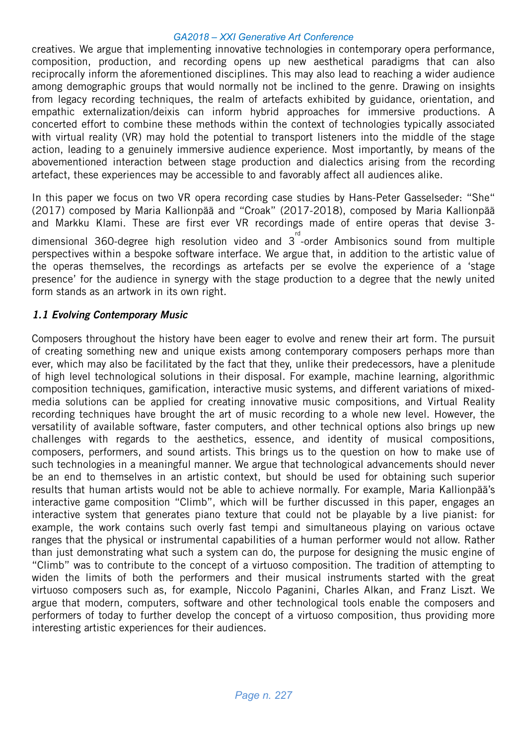creatives. We argue that implementing innovative technologies in contemporary opera performance, composition, production, and recording opens up new aesthetical paradigms that can also reciprocally inform the aforementioned disciplines. This may also lead to reaching a wider audience among demographic groups that would normally not be inclined to the genre. Drawing on insights from legacy recording techniques, the realm of artefacts exhibited by guidance, orientation, and empathic externalization/deixis can inform hybrid approaches for immersive productions. A concerted effort to combine these methods within the context of technologies typically associated with virtual reality (VR) may hold the potential to transport listeners into the middle of the stage action, leading to a genuinely immersive audience experience. Most importantly, by means of the abovementioned interaction between stage production and dialectics arising from the recording artefact, these experiences may be accessible to and favorably affect all audiences alike.

In this paper we focus on two VR opera recording case studies by Hans-Peter Gasselseder: "She" (2017) composed by Maria Kallionpää and "Croak" (2017-2018), composed by Maria Kallionpää and Markku Klami. These are first ever VR recordings made of entire operas that devise 3 dimensional 360-degree high resolution video and  $3^{\text{rd}}$ -order Ambisonics sound from multiple perspectives within a bespoke software interface. We argue that, in addition to the artistic value of the operas themselves, the recordings as artefacts per se evolve the experience of a 'stage presence' for the audience in synergy with the stage production to a degree that the newly united form stands as an artwork in its own right.

## 1.1 Evolving Contemporary Music

Composers throughout the history have been eager to evolve and renew their art form. The pursuit of creating something new and unique exists among contemporary composers perhaps more than ever, which may also be facilitated by the fact that they, unlike their predecessors, have a plenitude of high level technological solutions in their disposal. For example, machine learning, algorithmic composition techniques, gamification, interactive music systems, and different variations of mixedmedia solutions can be applied for creating innovative music compositions, and Virtual Reality recording techniques have brought the art of music recording to a whole new level. However, the versatility of available software, faster computers, and other technical options also brings up new challenges with regards to the aesthetics, essence, and identity of musical compositions, composers, performers, and sound artists. This brings us to the question on how to make use of such technologies in a meaningful manner. We argue that technological advancements should never be an end to themselves in an artistic context, but should be used for obtaining such superior results that human artists would not be able to achieve normally. For example, Maria Kallionpää's interactive game composition "Climb", which will be further discussed in this paper, engages an interactive system that generates piano texture that could not be playable by a live pianist: for example, the work contains such overly fast tempi and simultaneous playing on various octave ranges that the physical or instrumental capabilities of a human performer would not allow. Rather than just demonstrating what such a system can do, the purpose for designing the music engine of "Climb" was to contribute to the concept of a virtuoso composition. The tradition of attempting to widen the limits of both the performers and their musical instruments started with the great virtuoso composers such as, for example, Niccolo Paganini, Charles Alkan, and Franz Liszt. We argue that modern, computers, software and other technological tools enable the composers and performers of today to further develop the concept of a virtuoso composition, thus providing more interesting artistic experiences for their audiences.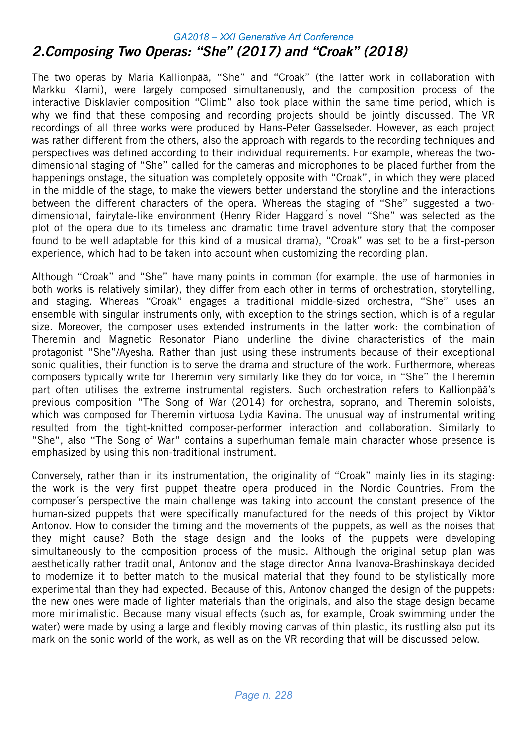## *GA2018 – XXI Generative Art Conference* 2.Composing Two Operas: "She" (2017) and "Croak" (2018)

The two operas by Maria Kallionpää, "She" and "Croak" (the latter work in collaboration with Markku Klami), were largely composed simultaneously, and the composition process of the interactive Disklavier composition "Climb" also took place within the same time period, which is why we find that these composing and recording projects should be jointly discussed. The VR recordings of all three works were produced by Hans-Peter Gasselseder. However, as each project was rather different from the others, also the approach with regards to the recording techniques and perspectives was defined according to their individual requirements. For example, whereas the twodimensional staging of "She" called for the cameras and microphones to be placed further from the happenings onstage, the situation was completely opposite with "Croak", in which they were placed in the middle of the stage, to make the viewers better understand the storyline and the interactions between the different characters of the opera. Whereas the staging of "She" suggested a twodimensional, fairytale-like environment (Henry Rider Haggard ́s novel "She" was selected as the plot of the opera due to its timeless and dramatic time travel adventure story that the composer found to be well adaptable for this kind of a musical drama), "Croak" was set to be a first-person experience, which had to be taken into account when customizing the recording plan.

Although "Croak" and "She" have many points in common (for example, the use of harmonies in both works is relatively similar), they differ from each other in terms of orchestration, storytelling, and staging. Whereas "Croak" engages a traditional middle-sized orchestra, "She" uses an ensemble with singular instruments only, with exception to the strings section, which is of a regular size. Moreover, the composer uses extended instruments in the latter work: the combination of Theremin and Magnetic Resonator Piano underline the divine characteristics of the main protagonist "She"/Ayesha. Rather than just using these instruments because of their exceptional sonic qualities, their function is to serve the drama and structure of the work. Furthermore, whereas composers typically write for Theremin very similarly like they do for voice, in "She" the Theremin part often utilises the extreme instrumental registers. Such orchestration refers to Kallionpää's previous composition "The Song of War (2014) for orchestra, soprano, and Theremin soloists, which was composed for Theremin virtuosa Lydia Kavina. The unusual way of instrumental writing resulted from the tight-knitted composer-performer interaction and collaboration. Similarly to "She", also "The Song of War" contains a superhuman female main character whose presence is emphasized by using this non-traditional instrument.

Conversely, rather than in its instrumentation, the originality of "Croak" mainly lies in its staging: the work is the very first puppet theatre opera produced in the Nordic Countries. From the composer´s perspective the main challenge was taking into account the constant presence of the human-sized puppets that were specifically manufactured for the needs of this project by Viktor Antonov. How to consider the timing and the movements of the puppets, as well as the noises that they might cause? Both the stage design and the looks of the puppets were developing simultaneously to the composition process of the music. Although the original setup plan was aesthetically rather traditional, Antonov and the stage director Anna Ivanova-Brashinskaya decided to modernize it to better match to the musical material that they found to be stylistically more experimental than they had expected. Because of this, Antonov changed the design of the puppets: the new ones were made of lighter materials than the originals, and also the stage design became more minimalistic. Because many visual effects (such as, for example, Croak swimming under the water) were made by using a large and flexibly moving canvas of thin plastic, its rustling also put its mark on the sonic world of the work, as well as on the VR recording that will be discussed below.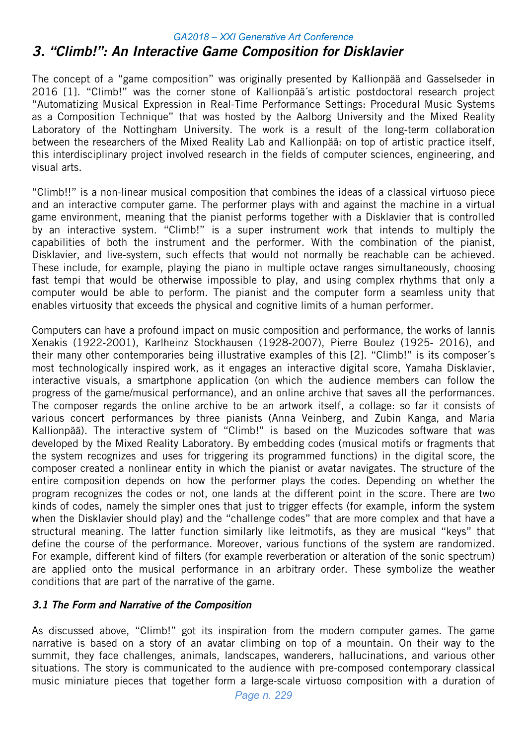## *GA2018 – XXI Generative Art Conference* 3. "Climb!": An Interactive Game Composition for Disklavier

The concept of a "game composition" was originally presented by Kallionpää and Gasselseder in 2016 [1]. "Climb!" was the corner stone of Kallionpää´s artistic postdoctoral research project "Automatizing Musical Expression in Real-Time Performance Settings: Procedural Music Systems as a Composition Technique" that was hosted by the Aalborg University and the Mixed Reality Laboratory of the Nottingham University. The work is a result of the long-term collaboration between the researchers of the Mixed Reality Lab and Kallionpää: on top of artistic practice itself, this interdisciplinary project involved research in the fields of computer sciences, engineering, and visual arts.

"Climb!!" is a non-linear musical composition that combines the ideas of a classical virtuoso piece and an interactive computer game. The performer plays with and against the machine in a virtual game environment, meaning that the pianist performs together with a Disklavier that is controlled by an interactive system. "Climb!" is a super instrument work that intends to multiply the capabilities of both the instrument and the performer. With the combination of the pianist, Disklavier, and live-system, such effects that would not normally be reachable can be achieved. These include, for example, playing the piano in multiple octave ranges simultaneously, choosing fast tempi that would be otherwise impossible to play, and using complex rhythms that only a computer would be able to perform. The pianist and the computer form a seamless unity that enables virtuosity that exceeds the physical and cognitive limits of a human performer.

Computers can have a profound impact on music composition and performance, the works of Iannis Xenakis (1922-2001), Karlheinz Stockhausen (1928-2007), Pierre Boulez (1925- 2016), and their many other contemporaries being illustrative examples of this [2]. "Climb!" is its composer´s most technologically inspired work, as it engages an interactive digital score, Yamaha Disklavier, interactive visuals, a smartphone application (on which the audience members can follow the progress of the game/musical performance), and an online archive that saves all the performances. The composer regards the online archive to be an artwork itself, a collage: so far it consists of various concert performances by three pianists (Anna Veinberg, and Zubin Kanga, and Maria Kallionpää). The interactive system of "Climb!" is based on the Muzicodes software that was developed by the Mixed Reality Laboratory. By embedding codes (musical motifs or fragments that the system recognizes and uses for triggering its programmed functions) in the digital score, the composer created a nonlinear entity in which the pianist or avatar navigates. The structure of the entire composition depends on how the performer plays the codes. Depending on whether the program recognizes the codes or not, one lands at the different point in the score. There are two kinds of codes, namely the simpler ones that just to trigger effects (for example, inform the system when the Disklavier should play) and the "challenge codes" that are more complex and that have a structural meaning. The latter function similarly like leitmotifs, as they are musical "keys" that define the course of the performance. Moreover, various functions of the system are randomized. For example, different kind of filters (for example reverberation or alteration of the sonic spectrum) are applied onto the musical performance in an arbitrary order. These symbolize the weather conditions that are part of the narrative of the game.

## 3.1 The Form and Narrative of the Composition

As discussed above, "Climb!" got its inspiration from the modern computer games. The game narrative is based on a story of an avatar climbing on top of a mountain. On their way to the summit, they face challenges, animals, landscapes, wanderers, hallucinations, and various other situations. The story is communicated to the audience with pre-composed contemporary classical music miniature pieces that together form a large-scale virtuoso composition with a duration of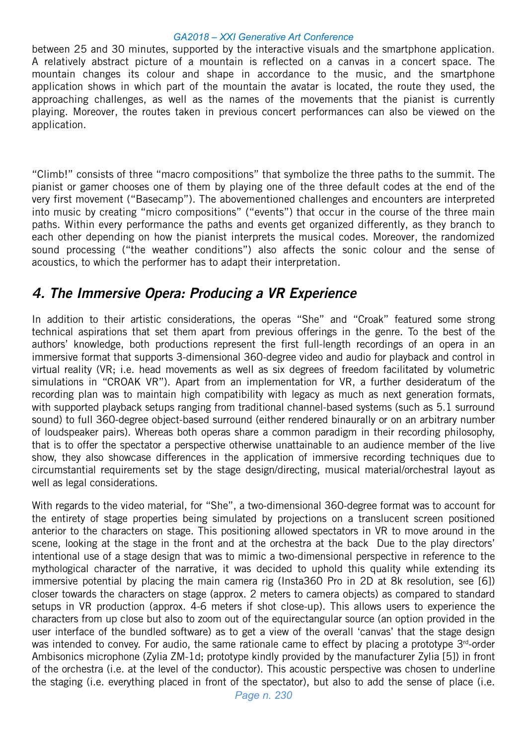between 25 and 30 minutes, supported by the interactive visuals and the smartphone application. A relatively abstract picture of a mountain is reflected on a canvas in a concert space. The mountain changes its colour and shape in accordance to the music, and the smartphone application shows in which part of the mountain the avatar is located, the route they used, the approaching challenges, as well as the names of the movements that the pianist is currently playing. Moreover, the routes taken in previous concert performances can also be viewed on the application.

"Climb!" consists of three "macro compositions" that symbolize the three paths to the summit. The pianist or gamer chooses one of them by playing one of the three default codes at the end of the very first movement ("Basecamp"). The abovementioned challenges and encounters are interpreted into music by creating "micro compositions" ("events") that occur in the course of the three main paths. Within every performance the paths and events get organized differently, as they branch to each other depending on how the pianist interprets the musical codes. Moreover, the randomized sound processing ("the weather conditions") also affects the sonic colour and the sense of acoustics, to which the performer has to adapt their interpretation.

## 4. The Immersive Opera: Producing a VR Experience

In addition to their artistic considerations, the operas "She" and "Croak" featured some strong technical aspirations that set them apart from previous offerings in the genre. To the best of the authors' knowledge, both productions represent the first full-length recordings of an opera in an immersive format that supports 3-dimensional 360-degree video and audio for playback and control in virtual reality (VR; i.e. head movements as well as six degrees of freedom facilitated by volumetric simulations in "CROAK VR"). Apart from an implementation for VR, a further desideratum of the recording plan was to maintain high compatibility with legacy as much as next generation formats, with supported playback setups ranging from traditional channel-based systems (such as 5.1 surround sound) to full 360-degree object-based surround (either rendered binaurally or on an arbitrary number of loudspeaker pairs). Whereas both operas share a common paradigm in their recording philosophy, that is to offer the spectator a perspective otherwise unattainable to an audience member of the live show, they also showcase differences in the application of immersive recording techniques due to circumstantial requirements set by the stage design/directing, musical material/orchestral layout as well as legal considerations.

With regards to the video material, for "She", a two-dimensional 360-degree format was to account for the entirety of stage properties being simulated by projections on a translucent screen positioned anterior to the characters on stage. This positioning allowed spectators in VR to move around in the scene, looking at the stage in the front and at the orchestra at the back Due to the play directors' intentional use of a stage design that was to mimic a two-dimensional perspective in reference to the mythological character of the narrative, it was decided to uphold this quality while extending its immersive potential by placing the main camera rig (Insta360 Pro in 2D at 8k resolution, see [6]) closer towards the characters on stage (approx. 2 meters to camera objects) as compared to standard setups in VR production (approx. 4-6 meters if shot close-up). This allows users to experience the characters from up close but also to zoom out of the equirectangular source (an option provided in the user interface of the bundled software) as to get a view of the overall 'canvas' that the stage design was intended to convey. For audio, the same rationale came to effect by placing a prototype  $3<sup>rd</sup>$ -order Ambisonics microphone (Zylia ZM-1d; prototype kindly provided by the manufacturer Zylia [5]) in front of the orchestra (i.e. at the level of the conductor). This acoustic perspective was chosen to underline the staging (i.e. everything placed in front of the spectator), but also to add the sense of place (i.e.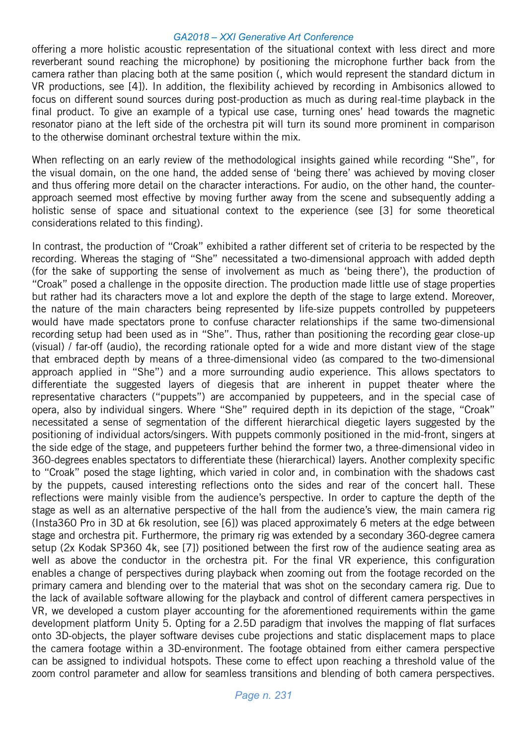offering a more holistic acoustic representation of the situational context with less direct and more reverberant sound reaching the microphone) by positioning the microphone further back from the camera rather than placing both at the same position (, which would represent the standard dictum in VR productions, see [4]). In addition, the flexibility achieved by recording in Ambisonics allowed to focus on different sound sources during post-production as much as during real-time playback in the final product. To give an example of a typical use case, turning ones' head towards the magnetic resonator piano at the left side of the orchestra pit will turn its sound more prominent in comparison to the otherwise dominant orchestral texture within the mix.

When reflecting on an early review of the methodological insights gained while recording "She", for the visual domain, on the one hand, the added sense of 'being there' was achieved by moving closer and thus offering more detail on the character interactions. For audio, on the other hand, the counterapproach seemed most effective by moving further away from the scene and subsequently adding a holistic sense of space and situational context to the experience (see [3] for some theoretical considerations related to this finding).

In contrast, the production of "Croak" exhibited a rather different set of criteria to be respected by the recording. Whereas the staging of "She" necessitated a two-dimensional approach with added depth (for the sake of supporting the sense of involvement as much as 'being there'), the production of "Croak" posed a challenge in the opposite direction. The production made little use of stage properties but rather had its characters move a lot and explore the depth of the stage to large extend. Moreover, the nature of the main characters being represented by life-size puppets controlled by puppeteers would have made spectators prone to confuse character relationships if the same two-dimensional recording setup had been used as in "She". Thus, rather than positioning the recording gear close-up (visual) / far-off (audio), the recording rationale opted for a wide and more distant view of the stage that embraced depth by means of a three-dimensional video (as compared to the two-dimensional approach applied in "She") and a more surrounding audio experience. This allows spectators to differentiate the suggested layers of diegesis that are inherent in puppet theater where the representative characters ("puppets") are accompanied by puppeteers, and in the special case of opera, also by individual singers. Where "She" required depth in its depiction of the stage, "Croak" necessitated a sense of segmentation of the different hierarchical diegetic layers suggested by the positioning of individual actors/singers. With puppets commonly positioned in the mid-front, singers at the side edge of the stage, and puppeteers further behind the former two, a three-dimensional video in 360-degrees enables spectators to differentiate these (hierarchical) layers. Another complexity specific to "Croak" posed the stage lighting, which varied in color and, in combination with the shadows cast by the puppets, caused interesting reflections onto the sides and rear of the concert hall. These reflections were mainly visible from the audience's perspective. In order to capture the depth of the stage as well as an alternative perspective of the hall from the audience's view, the main camera rig (Insta360 Pro in 3D at 6k resolution, see [6]) was placed approximately 6 meters at the edge between stage and orchestra pit. Furthermore, the primary rig was extended by a secondary 360-degree camera setup (2x Kodak SP360 4k, see [7]) positioned between the first row of the audience seating area as well as above the conductor in the orchestra pit. For the final VR experience, this configuration enables a change of perspectives during playback when zooming out from the footage recorded on the primary camera and blending over to the material that was shot on the secondary camera rig. Due to the lack of available software allowing for the playback and control of different camera perspectives in VR, we developed a custom player accounting for the aforementioned requirements within the game development platform Unity 5. Opting for a 2.5D paradigm that involves the mapping of flat surfaces onto 3D-objects, the player software devises cube projections and static displacement maps to place the camera footage within a 3D-environment. The footage obtained from either camera perspective can be assigned to individual hotspots. These come to effect upon reaching a threshold value of the zoom control parameter and allow for seamless transitions and blending of both camera perspectives.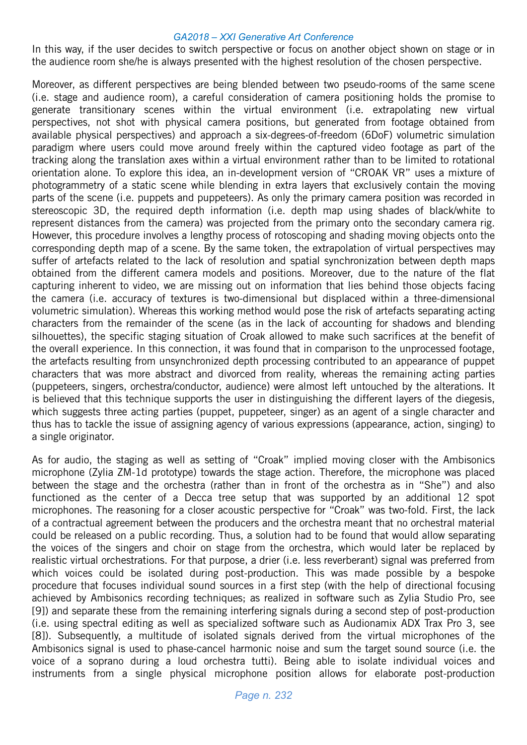In this way, if the user decides to switch perspective or focus on another object shown on stage or in the audience room she/he is always presented with the highest resolution of the chosen perspective.

Moreover, as different perspectives are being blended between two pseudo-rooms of the same scene (i.e. stage and audience room), a careful consideration of camera positioning holds the promise to generate transitionary scenes within the virtual environment (i.e. extrapolating new virtual perspectives, not shot with physical camera positions, but generated from footage obtained from available physical perspectives) and approach a six-degrees-of-freedom (6DoF) volumetric simulation paradigm where users could move around freely within the captured video footage as part of the tracking along the translation axes within a virtual environment rather than to be limited to rotational orientation alone. To explore this idea, an in-development version of "CROAK VR" uses a mixture of photogrammetry of a static scene while blending in extra layers that exclusively contain the moving parts of the scene (i.e. puppets and puppeteers). As only the primary camera position was recorded in stereoscopic 3D, the required depth information (i.e. depth map using shades of black/white to represent distances from the camera) was projected from the primary onto the secondary camera rig. However, this procedure involves a lengthy process of rotoscoping and shading moving objects onto the corresponding depth map of a scene. By the same token, the extrapolation of virtual perspectives may suffer of artefacts related to the lack of resolution and spatial synchronization between depth maps obtained from the different camera models and positions. Moreover, due to the nature of the flat capturing inherent to video, we are missing out on information that lies behind those objects facing the camera (i.e. accuracy of textures is two-dimensional but displaced within a three-dimensional volumetric simulation). Whereas this working method would pose the risk of artefacts separating acting characters from the remainder of the scene (as in the lack of accounting for shadows and blending silhouettes), the specific staging situation of Croak allowed to make such sacrifices at the benefit of the overall experience. In this connection, it was found that in comparison to the unprocessed footage, the artefacts resulting from unsynchronized depth processing contributed to an appearance of puppet characters that was more abstract and divorced from reality, whereas the remaining acting parties (puppeteers, singers, orchestra/conductor, audience) were almost left untouched by the alterations. It is believed that this technique supports the user in distinguishing the different layers of the diegesis, which suggests three acting parties (puppet, puppeteer, singer) as an agent of a single character and thus has to tackle the issue of assigning agency of various expressions (appearance, action, singing) to a single originator.

As for audio, the staging as well as setting of "Croak" implied moving closer with the Ambisonics microphone (Zylia ZM-1d prototype) towards the stage action. Therefore, the microphone was placed between the stage and the orchestra (rather than in front of the orchestra as in "She") and also functioned as the center of a Decca tree setup that was supported by an additional 12 spot microphones. The reasoning for a closer acoustic perspective for "Croak" was two-fold. First, the lack of a contractual agreement between the producers and the orchestra meant that no orchestral material could be released on a public recording. Thus, a solution had to be found that would allow separating the voices of the singers and choir on stage from the orchestra, which would later be replaced by realistic virtual orchestrations. For that purpose, a drier (i.e. less reverberant) signal was preferred from which voices could be isolated during post-production. This was made possible by a bespoke procedure that focuses individual sound sources in a first step (with the help of directional focusing achieved by Ambisonics recording techniques; as realized in software such as Zylia Studio Pro, see [9]) and separate these from the remaining interfering signals during a second step of post-production (i.e. using spectral editing as well as specialized software such as Audionamix ADX Trax Pro 3, see [8]). Subsequently, a multitude of isolated signals derived from the virtual microphones of the Ambisonics signal is used to phase-cancel harmonic noise and sum the target sound source (i.e. the voice of a soprano during a loud orchestra tutti). Being able to isolate individual voices and instruments from a single physical microphone position allows for elaborate post-production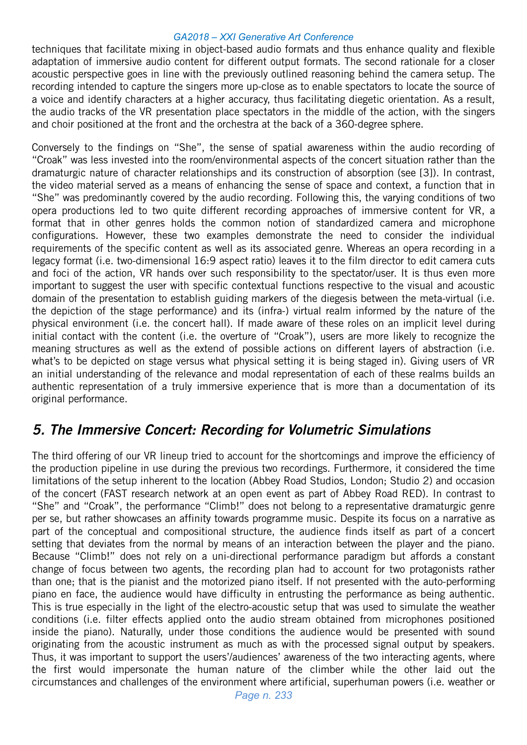techniques that facilitate mixing in object-based audio formats and thus enhance quality and flexible adaptation of immersive audio content for different output formats. The second rationale for a closer acoustic perspective goes in line with the previously outlined reasoning behind the camera setup. The recording intended to capture the singers more up-close as to enable spectators to locate the source of a voice and identify characters at a higher accuracy, thus facilitating diegetic orientation. As a result, the audio tracks of the VR presentation place spectators in the middle of the action, with the singers and choir positioned at the front and the orchestra at the back of a 360-degree sphere.

Conversely to the findings on "She", the sense of spatial awareness within the audio recording of "Croak" was less invested into the room/environmental aspects of the concert situation rather than the dramaturgic nature of character relationships and its construction of absorption (see [3]). In contrast, the video material served as a means of enhancing the sense of space and context, a function that in "She" was predominantly covered by the audio recording. Following this, the varying conditions of two opera productions led to two quite different recording approaches of immersive content for VR, a format that in other genres holds the common notion of standardized camera and microphone configurations. However, these two examples demonstrate the need to consider the individual requirements of the specific content as well as its associated genre. Whereas an opera recording in a legacy format (i.e. two-dimensional 16:9 aspect ratio) leaves it to the film director to edit camera cuts and foci of the action, VR hands over such responsibility to the spectator/user. It is thus even more important to suggest the user with specific contextual functions respective to the visual and acoustic domain of the presentation to establish guiding markers of the diegesis between the meta-virtual (i.e. the depiction of the stage performance) and its (infra-) virtual realm informed by the nature of the physical environment (i.e. the concert hall). If made aware of these roles on an implicit level during initial contact with the content (i.e. the overture of "Croak"), users are more likely to recognize the meaning structures as well as the extend of possible actions on different layers of abstraction (i.e. what's to be depicted on stage versus what physical setting it is being staged in). Giving users of VR an initial understanding of the relevance and modal representation of each of these realms builds an authentic representation of a truly immersive experience that is more than a documentation of its original performance.

## 5. The Immersive Concert: Recording for Volumetric Simulations

The third offering of our VR lineup tried to account for the shortcomings and improve the efficiency of the production pipeline in use during the previous two recordings. Furthermore, it considered the time limitations of the setup inherent to the location (Abbey Road Studios, London; Studio 2) and occasion of the concert (FAST research network at an open event as part of Abbey Road RED). In contrast to "She" and "Croak", the performance "Climb!" does not belong to a representative dramaturgic genre per se, but rather showcases an affinity towards programme music. Despite its focus on a narrative as part of the conceptual and compositional structure, the audience finds itself as part of a concert setting that deviates from the normal by means of an interaction between the player and the piano. Because "Climb!" does not rely on a uni-directional performance paradigm but affords a constant change of focus between two agents, the recording plan had to account for two protagonists rather than one; that is the pianist and the motorized piano itself. If not presented with the auto-performing piano en face, the audience would have difficulty in entrusting the performance as being authentic. This is true especially in the light of the electro-acoustic setup that was used to simulate the weather conditions (i.e. filter effects applied onto the audio stream obtained from microphones positioned inside the piano). Naturally, under those conditions the audience would be presented with sound originating from the acoustic instrument as much as with the processed signal output by speakers. Thus, it was important to support the users'/audiences' awareness of the two interacting agents, where the first would impersonate the human nature of the climber while the other laid out the circumstances and challenges of the environment where artificial, superhuman powers (i.e. weather or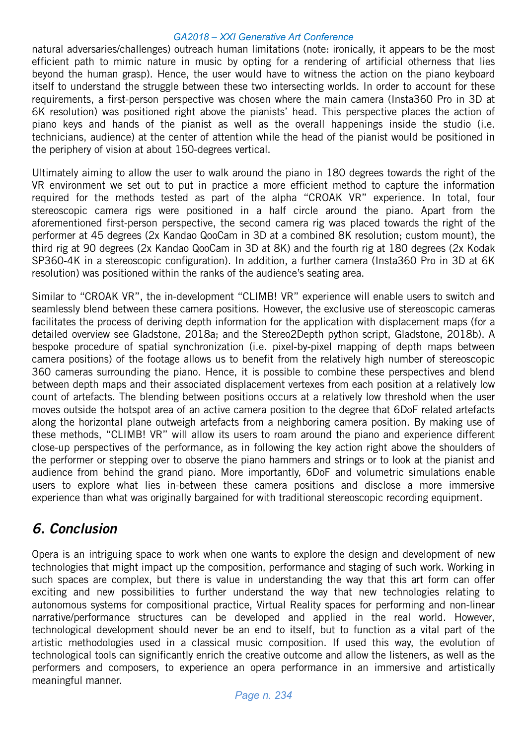natural adversaries/challenges) outreach human limitations (note: ironically, it appears to be the most efficient path to mimic nature in music by opting for a rendering of artificial otherness that lies beyond the human grasp). Hence, the user would have to witness the action on the piano keyboard itself to understand the struggle between these two intersecting worlds. In order to account for these requirements, a first-person perspective was chosen where the main camera (Insta360 Pro in 3D at 6K resolution) was positioned right above the pianists' head. This perspective places the action of piano keys and hands of the pianist as well as the overall happenings inside the studio (i.e. technicians, audience) at the center of attention while the head of the pianist would be positioned in the periphery of vision at about 150-degrees vertical.

Ultimately aiming to allow the user to walk around the piano in 180 degrees towards the right of the VR environment we set out to put in practice a more efficient method to capture the information required for the methods tested as part of the alpha "CROAK VR" experience. In total, four stereoscopic camera rigs were positioned in a half circle around the piano. Apart from the aforementioned first-person perspective, the second camera rig was placed towards the right of the performer at 45 degrees (2x Kandao QooCam in 3D at a combined 8K resolution; custom mount), the third rig at 90 degrees (2x Kandao QooCam in 3D at 8K) and the fourth rig at 180 degrees (2x Kodak SP360-4K in a stereoscopic configuration). In addition, a further camera (Insta360 Pro in 3D at 6K resolution) was positioned within the ranks of the audience's seating area.

Similar to "CROAK VR", the in-development "CLIMB! VR" experience will enable users to switch and seamlessly blend between these camera positions. However, the exclusive use of stereoscopic cameras facilitates the process of deriving depth information for the application with displacement maps (for a detailed overview see Gladstone, 2018a; and the Stereo2Depth python script, Gladstone, 2018b). A bespoke procedure of spatial synchronization (i.e. pixel-by-pixel mapping of depth maps between camera positions) of the footage allows us to benefit from the relatively high number of stereoscopic 360 cameras surrounding the piano. Hence, it is possible to combine these perspectives and blend between depth maps and their associated displacement vertexes from each position at a relatively low count of artefacts. The blending between positions occurs at a relatively low threshold when the user moves outside the hotspot area of an active camera position to the degree that 6DoF related artefacts along the horizontal plane outweigh artefacts from a neighboring camera position. By making use of these methods, "CLIMB! VR" will allow its users to roam around the piano and experience different close-up perspectives of the performance, as in following the key action right above the shoulders of the performer or stepping over to observe the piano hammers and strings or to look at the pianist and audience from behind the grand piano. More importantly, 6DoF and volumetric simulations enable users to explore what lies in-between these camera positions and disclose a more immersive experience than what was originally bargained for with traditional stereoscopic recording equipment.

## 6. Conclusion

Opera is an intriguing space to work when one wants to explore the design and development of new technologies that might impact up the composition, performance and staging of such work. Working in such spaces are complex, but there is value in understanding the way that this art form can offer exciting and new possibilities to further understand the way that new technologies relating to autonomous systems for compositional practice, Virtual Reality spaces for performing and non-linear narrative/performance structures can be developed and applied in the real world. However, technological development should never be an end to itself, but to function as a vital part of the artistic methodologies used in a classical music composition. If used this way, the evolution of technological tools can significantly enrich the creative outcome and allow the listeners, as well as the performers and composers, to experience an opera performance in an immersive and artistically meaningful manner.